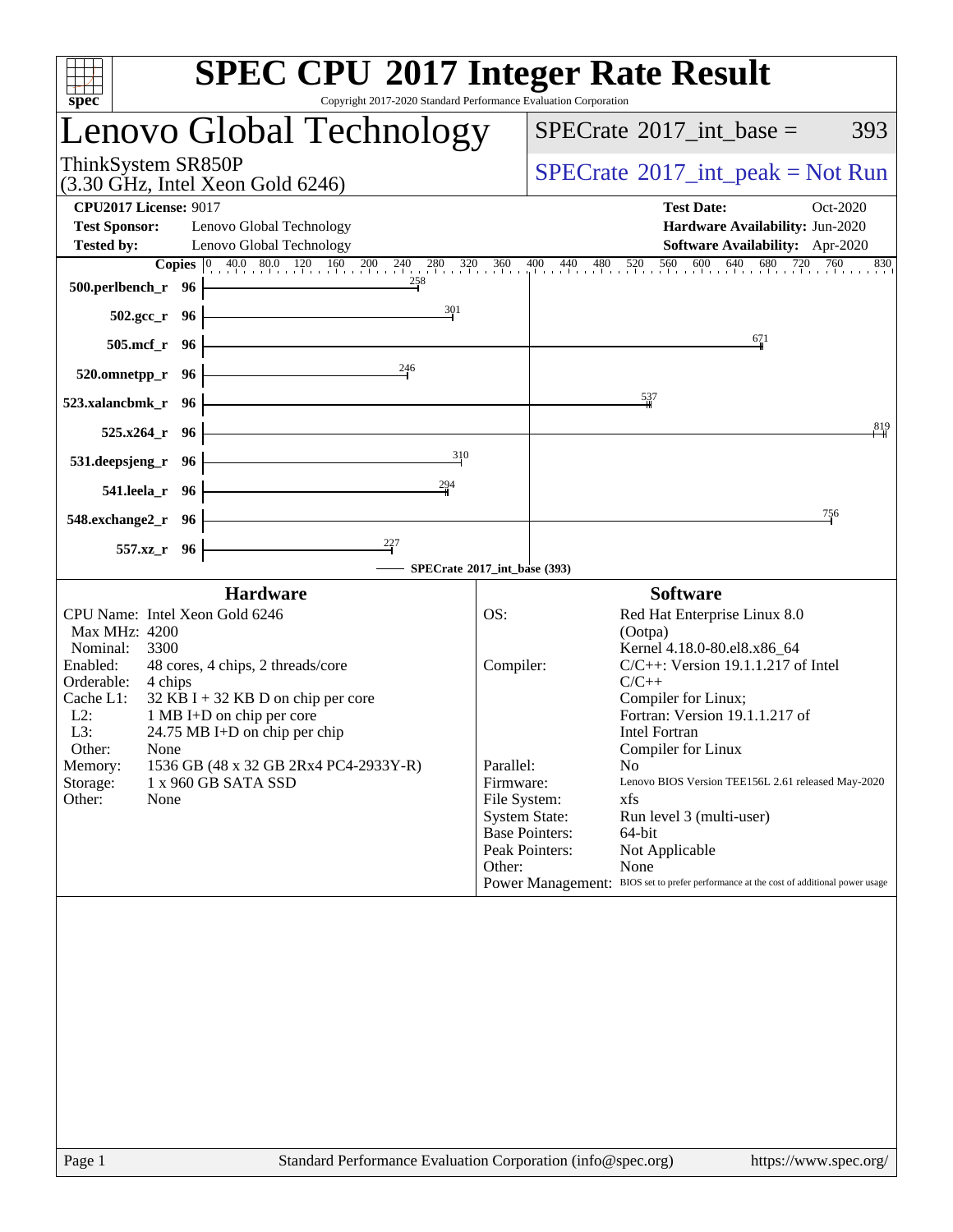| <b>SPEC CPU®2017 Integer Rate Result</b><br>Copyright 2017-2020 Standard Performance Evaluation Corporation<br>spec <sup>®</sup>                                                                                                                                                                                                                                                                                                |                                                                                                                                                                         |                                                                                                                                                                                                                                                                                                                                                                                                                                                                                   |
|---------------------------------------------------------------------------------------------------------------------------------------------------------------------------------------------------------------------------------------------------------------------------------------------------------------------------------------------------------------------------------------------------------------------------------|-------------------------------------------------------------------------------------------------------------------------------------------------------------------------|-----------------------------------------------------------------------------------------------------------------------------------------------------------------------------------------------------------------------------------------------------------------------------------------------------------------------------------------------------------------------------------------------------------------------------------------------------------------------------------|
| Lenovo Global Technology                                                                                                                                                                                                                                                                                                                                                                                                        |                                                                                                                                                                         | $SPECTate$ <sup>®</sup> 2017_int_base =<br>393                                                                                                                                                                                                                                                                                                                                                                                                                                    |
| ThinkSystem SR850P<br>$(3.30 \text{ GHz}, \text{Intel Xeon Gold } 6246)$                                                                                                                                                                                                                                                                                                                                                        |                                                                                                                                                                         | $SPECrate^{\circledast}2017\_int\_peak = Not Run$                                                                                                                                                                                                                                                                                                                                                                                                                                 |
| <b>CPU2017 License: 9017</b><br><b>Test Sponsor:</b><br>Lenovo Global Technology<br><b>Tested by:</b><br>Lenovo Global Technology<br><b>Copies</b> $\begin{bmatrix} 0 & 40.0 & 80.0 & 120 & 160 & 200 & 240 & 280 & 320 & 360 & 400 & 440 & 480 & 520 & 560 & 600 & 640 & 680 & 720 & 760 \end{bmatrix}$<br>258                                                                                                                 |                                                                                                                                                                         | <b>Test Date:</b><br>Oct-2020<br>Hardware Availability: Jun-2020<br>Software Availability: Apr-2020<br>830                                                                                                                                                                                                                                                                                                                                                                        |
| 500.perlbench_r 96<br>301<br>$502.\text{gcc}_r$ 96<br>505.mcf_r 96                                                                                                                                                                                                                                                                                                                                                              |                                                                                                                                                                         | 671                                                                                                                                                                                                                                                                                                                                                                                                                                                                               |
| 246<br>520.omnetpp_r 96<br>523.xalancbmk_r 96<br>525.x264_r 96                                                                                                                                                                                                                                                                                                                                                                  |                                                                                                                                                                         | $\frac{537}{4}$<br>819                                                                                                                                                                                                                                                                                                                                                                                                                                                            |
| 310<br>531.deepsjeng_r 96<br>294<br>541.leela_r 96                                                                                                                                                                                                                                                                                                                                                                              |                                                                                                                                                                         |                                                                                                                                                                                                                                                                                                                                                                                                                                                                                   |
| 548.exchange2_r 96<br>557.xz_r 96                                                                                                                                                                                                                                                                                                                                                                                               |                                                                                                                                                                         | 756                                                                                                                                                                                                                                                                                                                                                                                                                                                                               |
| <b>Hardware</b><br>CPU Name: Intel Xeon Gold 6246<br>Max MHz: 4200<br>Nominal:<br>3300<br>Enabled:<br>48 cores, 4 chips, 2 threads/core<br>Orderable:<br>4 chips<br>Cache L1:<br>$32$ KB I + 32 KB D on chip per core<br>$L2$ :<br>1 MB I+D on chip per core<br>L3:<br>24.75 MB I+D on chip per chip<br>Other:<br>None<br>1536 GB (48 x 32 GB 2Rx4 PC4-2933Y-R)<br>Memory:<br>Storage:<br>1 x 960 GB SATA SSD<br>Other:<br>None | SPECrate®2017_int_base (393)<br>OS:<br>Compiler:<br>Parallel:<br>Firmware:<br>File System:<br><b>System State:</b><br><b>Base Pointers:</b><br>Peak Pointers:<br>Other: | <b>Software</b><br>Red Hat Enterprise Linux 8.0<br>(Ootpa)<br>Kernel 4.18.0-80.el8.x86_64<br>$C/C++$ : Version 19.1.1.217 of Intel<br>$C/C++$<br>Compiler for Linux;<br>Fortran: Version 19.1.1.217 of<br><b>Intel Fortran</b><br>Compiler for Linux<br>No<br>Lenovo BIOS Version TEE156L 2.61 released May-2020<br>xfs<br>Run level 3 (multi-user)<br>64-bit<br>Not Applicable<br>None<br>Power Management: BIOS set to prefer performance at the cost of additional power usage |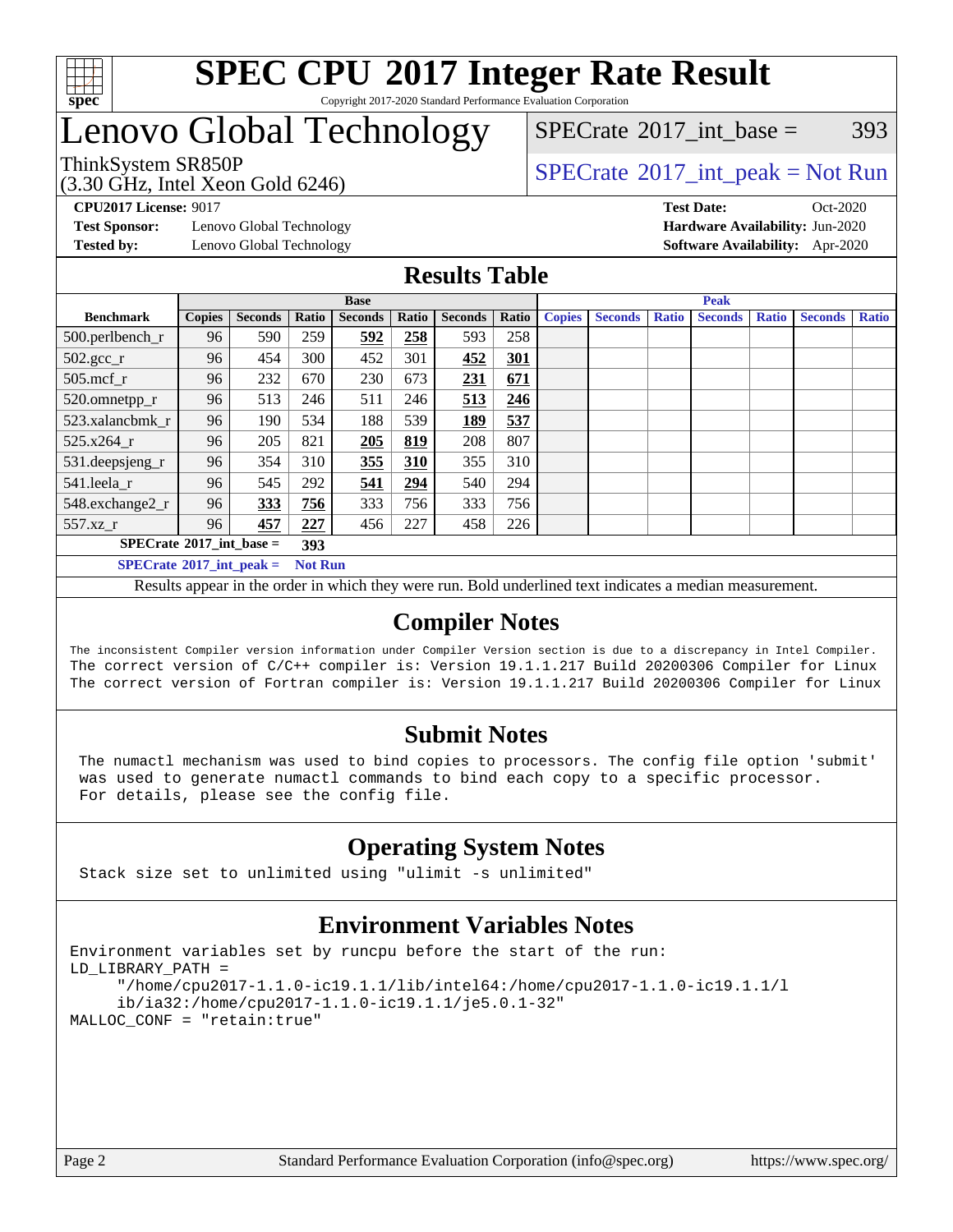

#### **[SPEC CPU](http://www.spec.org/auto/cpu2017/Docs/result-fields.html#SPECCPU2017IntegerRateResult)[2017 Integer Rate Result](http://www.spec.org/auto/cpu2017/Docs/result-fields.html#SPECCPU2017IntegerRateResult)** Copyright 2017-2020 Standard Performance Evaluation Corporation

### Lenovo Global Technology

(3.30 GHz, Intel Xeon Gold 6246)

ThinkSystem SR850P<br>  $SPECTI<sub>2</sub>120 GHz, Intel Y<sub>2</sub>2015  
SPECTI<sub>2</sub>120 GHz, Intel Y<sub>2</sub>2015$ 

 $SPECTate@2017\_int\_base = 393$ 

**[Test Sponsor:](http://www.spec.org/auto/cpu2017/Docs/result-fields.html#TestSponsor)** Lenovo Global Technology **[Hardware Availability:](http://www.spec.org/auto/cpu2017/Docs/result-fields.html#HardwareAvailability)** Jun-2020

**[CPU2017 License:](http://www.spec.org/auto/cpu2017/Docs/result-fields.html#CPU2017License)** 9017 **[Test Date:](http://www.spec.org/auto/cpu2017/Docs/result-fields.html#TestDate)** Oct-2020 **[Tested by:](http://www.spec.org/auto/cpu2017/Docs/result-fields.html#Testedby)** Lenovo Global Technology **[Software Availability:](http://www.spec.org/auto/cpu2017/Docs/result-fields.html#SoftwareAvailability)** Apr-2020

#### **[Results Table](http://www.spec.org/auto/cpu2017/Docs/result-fields.html#ResultsTable)**

|                                   | <b>Base</b>    |                |       |                |       |                | <b>Peak</b> |               |                |              |                |              |                |              |
|-----------------------------------|----------------|----------------|-------|----------------|-------|----------------|-------------|---------------|----------------|--------------|----------------|--------------|----------------|--------------|
| <b>Benchmark</b>                  | <b>Copies</b>  | <b>Seconds</b> | Ratio | <b>Seconds</b> | Ratio | <b>Seconds</b> | Ratio       | <b>Copies</b> | <b>Seconds</b> | <b>Ratio</b> | <b>Seconds</b> | <b>Ratio</b> | <b>Seconds</b> | <b>Ratio</b> |
| 500.perlbench_r                   | 96             | 590            | 259   | 592            | 258   | 593            | 258         |               |                |              |                |              |                |              |
| $502.\text{gcc}_r$                | 96             | 454            | 300   | 452            | 301   | 452            | 301         |               |                |              |                |              |                |              |
| $505$ .mcf r                      | 96             | 232            | 670   | 230            | 673   | 231            | 671         |               |                |              |                |              |                |              |
| 520.omnetpp_r                     | 96             | 513            | 246   | 511            | 246   | 513            | 246         |               |                |              |                |              |                |              |
| 523.xalancbmk r                   | 96             | 190            | 534   | 188            | 539   | 189            | 537         |               |                |              |                |              |                |              |
| 525.x264 r                        | 96             | 205            | 821   | 205            | 819   | 208            | 807         |               |                |              |                |              |                |              |
| 531.deepsjeng_r                   | 96             | 354            | 310   | 355            | 310   | 355            | 310         |               |                |              |                |              |                |              |
| 541.leela_r                       | 96             | 545            | 292   | 541            | 294   | 540            | 294         |               |                |              |                |              |                |              |
| 548.exchange2_r                   | 96             | 333            | 756   | 333            | 756   | 333            | 756         |               |                |              |                |              |                |              |
| 557.xz r                          | 96             | 457            | 227   | 456            | 227   | 458            | 226         |               |                |              |                |              |                |              |
| $SPECrate^{\circ}2017$ int base = |                |                | 393   |                |       |                |             |               |                |              |                |              |                |              |
| $SPECrate^{\circ}2017$ int peak = | <b>Not Run</b> |                |       |                |       |                |             |               |                |              |                |              |                |              |

Results appear in the [order in which they were run](http://www.spec.org/auto/cpu2017/Docs/result-fields.html#RunOrder). Bold underlined text [indicates a median measurement](http://www.spec.org/auto/cpu2017/Docs/result-fields.html#Median).

### **[Compiler Notes](http://www.spec.org/auto/cpu2017/Docs/result-fields.html#CompilerNotes)**

The inconsistent Compiler version information under Compiler Version section is due to a discrepancy in Intel Compiler. The correct version of C/C++ compiler is: Version 19.1.1.217 Build 20200306 Compiler for Linux The correct version of Fortran compiler is: Version 19.1.1.217 Build 20200306 Compiler for Linux

### **[Submit Notes](http://www.spec.org/auto/cpu2017/Docs/result-fields.html#SubmitNotes)**

 The numactl mechanism was used to bind copies to processors. The config file option 'submit' was used to generate numactl commands to bind each copy to a specific processor. For details, please see the config file.

### **[Operating System Notes](http://www.spec.org/auto/cpu2017/Docs/result-fields.html#OperatingSystemNotes)**

Stack size set to unlimited using "ulimit -s unlimited"

### **[Environment Variables Notes](http://www.spec.org/auto/cpu2017/Docs/result-fields.html#EnvironmentVariablesNotes)**

```
Environment variables set by runcpu before the start of the run:
LD_LIBRARY_PATH =
      "/home/cpu2017-1.1.0-ic19.1.1/lib/intel64:/home/cpu2017-1.1.0-ic19.1.1/l
      ib/ia32:/home/cpu2017-1.1.0-ic19.1.1/je5.0.1-32"
MALLOC_CONF = "retain:true"
```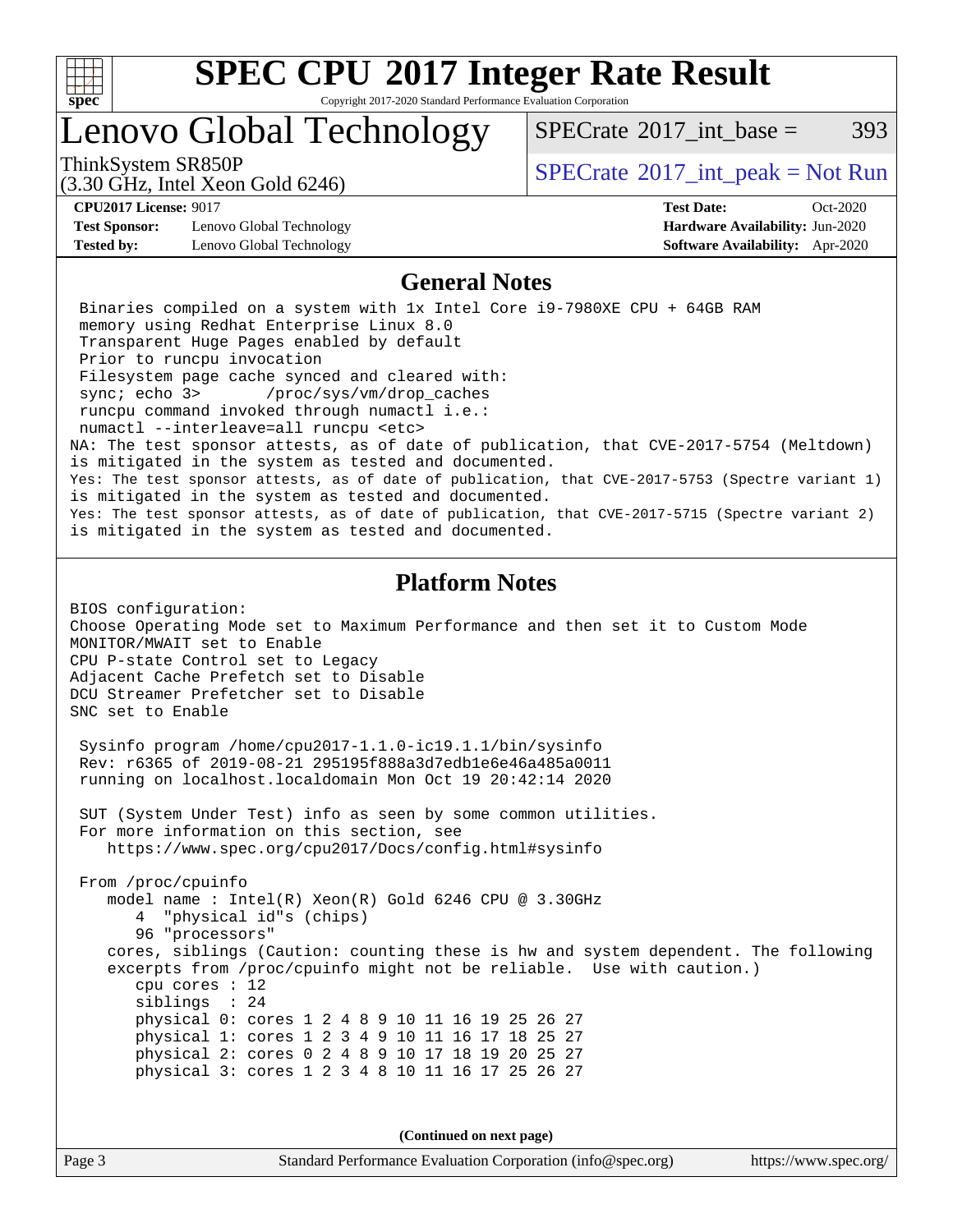

Copyright 2017-2020 Standard Performance Evaluation Corporation

### Lenovo Global Technology

ThinkSystem SR850P<br>  $SPECTI<sub>2</sub>120 GHz, Intel Y<sub>2</sub>2015  
SPECTI<sub>2</sub>120 GHz, Intel Y<sub>2</sub>2015$ 

[SPECrate](http://www.spec.org/auto/cpu2017/Docs/result-fields.html#SPECrate2017intbase)<sup>®</sup>2017 int base = 393

(3.30 GHz, Intel Xeon Gold 6246)

**[Test Sponsor:](http://www.spec.org/auto/cpu2017/Docs/result-fields.html#TestSponsor)** Lenovo Global Technology **[Hardware Availability:](http://www.spec.org/auto/cpu2017/Docs/result-fields.html#HardwareAvailability)** Jun-2020 **[Tested by:](http://www.spec.org/auto/cpu2017/Docs/result-fields.html#Testedby)** Lenovo Global Technology **[Software Availability:](http://www.spec.org/auto/cpu2017/Docs/result-fields.html#SoftwareAvailability)** Apr-2020

**[CPU2017 License:](http://www.spec.org/auto/cpu2017/Docs/result-fields.html#CPU2017License)** 9017 **[Test Date:](http://www.spec.org/auto/cpu2017/Docs/result-fields.html#TestDate)** Oct-2020

#### **[General Notes](http://www.spec.org/auto/cpu2017/Docs/result-fields.html#GeneralNotes)**

 Binaries compiled on a system with 1x Intel Core i9-7980XE CPU + 64GB RAM memory using Redhat Enterprise Linux 8.0 Transparent Huge Pages enabled by default Prior to runcpu invocation Filesystem page cache synced and cleared with: sync; echo 3> /proc/sys/vm/drop\_caches runcpu command invoked through numactl i.e.: numactl --interleave=all runcpu <etc> NA: The test sponsor attests, as of date of publication, that CVE-2017-5754 (Meltdown) is mitigated in the system as tested and documented. Yes: The test sponsor attests, as of date of publication, that CVE-2017-5753 (Spectre variant 1) is mitigated in the system as tested and documented. Yes: The test sponsor attests, as of date of publication, that CVE-2017-5715 (Spectre variant 2) is mitigated in the system as tested and documented.

### **[Platform Notes](http://www.spec.org/auto/cpu2017/Docs/result-fields.html#PlatformNotes)**

BIOS configuration: Choose Operating Mode set to Maximum Performance and then set it to Custom Mode MONITOR/MWAIT set to Enable CPU P-state Control set to Legacy Adjacent Cache Prefetch set to Disable DCU Streamer Prefetcher set to Disable SNC set to Enable

 Sysinfo program /home/cpu2017-1.1.0-ic19.1.1/bin/sysinfo Rev: r6365 of 2019-08-21 295195f888a3d7edb1e6e46a485a0011 running on localhost.localdomain Mon Oct 19 20:42:14 2020

 SUT (System Under Test) info as seen by some common utilities. For more information on this section, see <https://www.spec.org/cpu2017/Docs/config.html#sysinfo>

 From /proc/cpuinfo model name : Intel(R) Xeon(R) Gold 6246 CPU @ 3.30GHz 4 "physical id"s (chips) 96 "processors" cores, siblings (Caution: counting these is hw and system dependent. The following excerpts from /proc/cpuinfo might not be reliable. Use with caution.) cpu cores : 12 siblings : 24 physical 0: cores 1 2 4 8 9 10 11 16 19 25 26 27 physical 1: cores 1 2 3 4 9 10 11 16 17 18 25 27 physical 2: cores 0 2 4 8 9 10 17 18 19 20 25 27 physical 3: cores 1 2 3 4 8 10 11 16 17 25 26 27

**(Continued on next page)**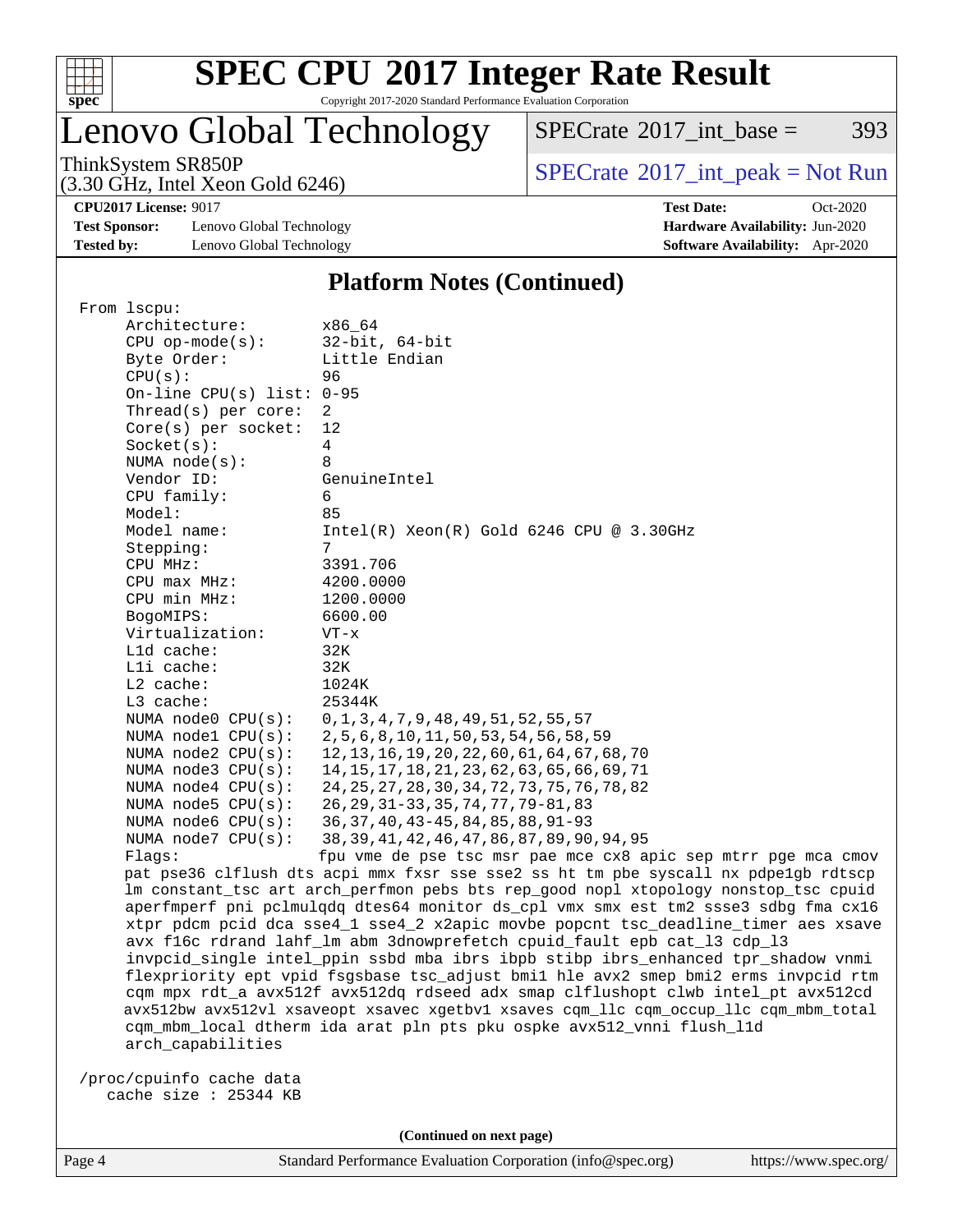

Copyright 2017-2020 Standard Performance Evaluation Corporation

### Lenovo Global Technology

 $SPECTate@2017_int\_base = 393$ 

(3.30 GHz, Intel Xeon Gold 6246)

ThinkSystem SR850P<br>  $(3.30 \text{ GHz} \text{ Intel } \text{Yoon} \text{ Gold } 6246)$  [SPECrate](http://www.spec.org/auto/cpu2017/Docs/result-fields.html#SPECrate2017intpeak)®[2017\\_int\\_peak = N](http://www.spec.org/auto/cpu2017/Docs/result-fields.html#SPECrate2017intpeak)ot Run

**[Test Sponsor:](http://www.spec.org/auto/cpu2017/Docs/result-fields.html#TestSponsor)** Lenovo Global Technology **[Hardware Availability:](http://www.spec.org/auto/cpu2017/Docs/result-fields.html#HardwareAvailability)** Jun-2020 **[Tested by:](http://www.spec.org/auto/cpu2017/Docs/result-fields.html#Testedby)** Lenovo Global Technology **[Software Availability:](http://www.spec.org/auto/cpu2017/Docs/result-fields.html#SoftwareAvailability)** Apr-2020

**[CPU2017 License:](http://www.spec.org/auto/cpu2017/Docs/result-fields.html#CPU2017License)** 9017 **[Test Date:](http://www.spec.org/auto/cpu2017/Docs/result-fields.html#TestDate)** Oct-2020

#### **[Platform Notes \(Continued\)](http://www.spec.org/auto/cpu2017/Docs/result-fields.html#PlatformNotes)**

|  | From 1scpu:                                                                                                                                                              |                                                                                     |  |  |  |  |  |  |  |
|--|--------------------------------------------------------------------------------------------------------------------------------------------------------------------------|-------------------------------------------------------------------------------------|--|--|--|--|--|--|--|
|  | Architecture:                                                                                                                                                            | x86 64                                                                              |  |  |  |  |  |  |  |
|  | $CPU$ op-mode( $s$ ):                                                                                                                                                    | $32$ -bit, $64$ -bit                                                                |  |  |  |  |  |  |  |
|  | Byte Order:                                                                                                                                                              | Little Endian                                                                       |  |  |  |  |  |  |  |
|  | CPU(s):                                                                                                                                                                  | 96                                                                                  |  |  |  |  |  |  |  |
|  | On-line CPU(s) list: 0-95                                                                                                                                                |                                                                                     |  |  |  |  |  |  |  |
|  | Thread(s) per core:                                                                                                                                                      | 2                                                                                   |  |  |  |  |  |  |  |
|  | Core(s) per socket:                                                                                                                                                      | 12                                                                                  |  |  |  |  |  |  |  |
|  | Socket(s):                                                                                                                                                               | $\overline{4}$                                                                      |  |  |  |  |  |  |  |
|  | NUMA $node(s)$ :                                                                                                                                                         | 8                                                                                   |  |  |  |  |  |  |  |
|  | Vendor ID:                                                                                                                                                               | GenuineIntel                                                                        |  |  |  |  |  |  |  |
|  | CPU family:                                                                                                                                                              | 6                                                                                   |  |  |  |  |  |  |  |
|  | Model:                                                                                                                                                                   | 85                                                                                  |  |  |  |  |  |  |  |
|  | Model name:                                                                                                                                                              | $Intel(R)$ Xeon $(R)$ Gold 6246 CPU @ 3.30GHz                                       |  |  |  |  |  |  |  |
|  | Stepping:                                                                                                                                                                | 7                                                                                   |  |  |  |  |  |  |  |
|  | CPU MHz:                                                                                                                                                                 | 3391.706                                                                            |  |  |  |  |  |  |  |
|  | $CPU$ max $MHz$ :                                                                                                                                                        | 4200.0000                                                                           |  |  |  |  |  |  |  |
|  | CPU min MHz:                                                                                                                                                             | 1200.0000                                                                           |  |  |  |  |  |  |  |
|  | BogoMIPS:                                                                                                                                                                | 6600.00                                                                             |  |  |  |  |  |  |  |
|  | Virtualization:                                                                                                                                                          | $VT - x$                                                                            |  |  |  |  |  |  |  |
|  | L1d cache:                                                                                                                                                               | 32K                                                                                 |  |  |  |  |  |  |  |
|  | Lli cache:                                                                                                                                                               | 32K                                                                                 |  |  |  |  |  |  |  |
|  | L2 cache:                                                                                                                                                                | 1024K                                                                               |  |  |  |  |  |  |  |
|  | L3 cache:                                                                                                                                                                | 25344K                                                                              |  |  |  |  |  |  |  |
|  | NUMA node0 CPU(s):                                                                                                                                                       | $0, 1, 3, 4, 7, 9, 48, 49, 51, 52, 55, 57$                                          |  |  |  |  |  |  |  |
|  | NUMA $node1$ $CPU(s):$                                                                                                                                                   | 2, 5, 6, 8, 10, 11, 50, 53, 54, 56, 58, 59                                          |  |  |  |  |  |  |  |
|  | NUMA $node2$ $CPU(s):$                                                                                                                                                   | 12, 13, 16, 19, 20, 22, 60, 61, 64, 67, 68, 70                                      |  |  |  |  |  |  |  |
|  | NUMA $node3$ CPU $(s)$ :                                                                                                                                                 | 14, 15, 17, 18, 21, 23, 62, 63, 65, 66, 69, 71                                      |  |  |  |  |  |  |  |
|  | NUMA $node4$ $CPU(s):$                                                                                                                                                   | 24, 25, 27, 28, 30, 34, 72, 73, 75, 76, 78, 82                                      |  |  |  |  |  |  |  |
|  | NUMA node5 $CPU(s):$                                                                                                                                                     | 26, 29, 31 - 33, 35, 74, 77, 79 - 81, 83                                            |  |  |  |  |  |  |  |
|  | NUMA node6 $CPU(s):$                                                                                                                                                     | 36, 37, 40, 43-45, 84, 85, 88, 91-93                                                |  |  |  |  |  |  |  |
|  | NUMA node7 CPU(s):                                                                                                                                                       | 38, 39, 41, 42, 46, 47, 86, 87, 89, 90, 94, 95                                      |  |  |  |  |  |  |  |
|  | Flags:                                                                                                                                                                   | fpu vme de pse tsc msr pae mce cx8 apic sep mtrr pge mca cmov                       |  |  |  |  |  |  |  |
|  |                                                                                                                                                                          | pat pse36 clflush dts acpi mmx fxsr sse sse2 ss ht tm pbe syscall nx pdpelgb rdtscp |  |  |  |  |  |  |  |
|  |                                                                                                                                                                          | lm constant_tsc art arch_perfmon pebs bts rep_good nopl xtopology nonstop_tsc cpuid |  |  |  |  |  |  |  |
|  |                                                                                                                                                                          | aperfmperf pni pclmulqdq dtes64 monitor ds_cpl vmx smx est tm2 ssse3 sdbg fma cx16  |  |  |  |  |  |  |  |
|  |                                                                                                                                                                          | xtpr pdcm pcid dca sse4_1 sse4_2 x2apic movbe popcnt tsc_deadline_timer aes xsave   |  |  |  |  |  |  |  |
|  |                                                                                                                                                                          | avx f16c rdrand lahf_lm abm 3dnowprefetch cpuid_fault epb cat_13 cdp_13             |  |  |  |  |  |  |  |
|  | invpcid_single intel_ppin ssbd mba ibrs ibpb stibp ibrs_enhanced tpr_shadow vnmi<br>flexpriority ept vpid fsgsbase tsc_adjust bmil hle avx2 smep bmi2 erms invpcid rtm   |                                                                                     |  |  |  |  |  |  |  |
|  |                                                                                                                                                                          |                                                                                     |  |  |  |  |  |  |  |
|  | cqm mpx rdt a avx512f avx512dq rdseed adx smap clflushopt clwb intel pt avx512cd<br>avx512bw avx512vl xsaveopt xsavec xgetbv1 xsaves cqm_llc cqm_occup_llc cqm_mbm_total |                                                                                     |  |  |  |  |  |  |  |
|  |                                                                                                                                                                          |                                                                                     |  |  |  |  |  |  |  |
|  |                                                                                                                                                                          | cqm_mbm_local dtherm ida arat pln pts pku ospke avx512_vnni flush_l1d               |  |  |  |  |  |  |  |
|  | arch_capabilities                                                                                                                                                        |                                                                                     |  |  |  |  |  |  |  |
|  |                                                                                                                                                                          |                                                                                     |  |  |  |  |  |  |  |
|  | /proc/cpuinfo cache data                                                                                                                                                 |                                                                                     |  |  |  |  |  |  |  |
|  | cache size : 25344 KB                                                                                                                                                    |                                                                                     |  |  |  |  |  |  |  |
|  |                                                                                                                                                                          |                                                                                     |  |  |  |  |  |  |  |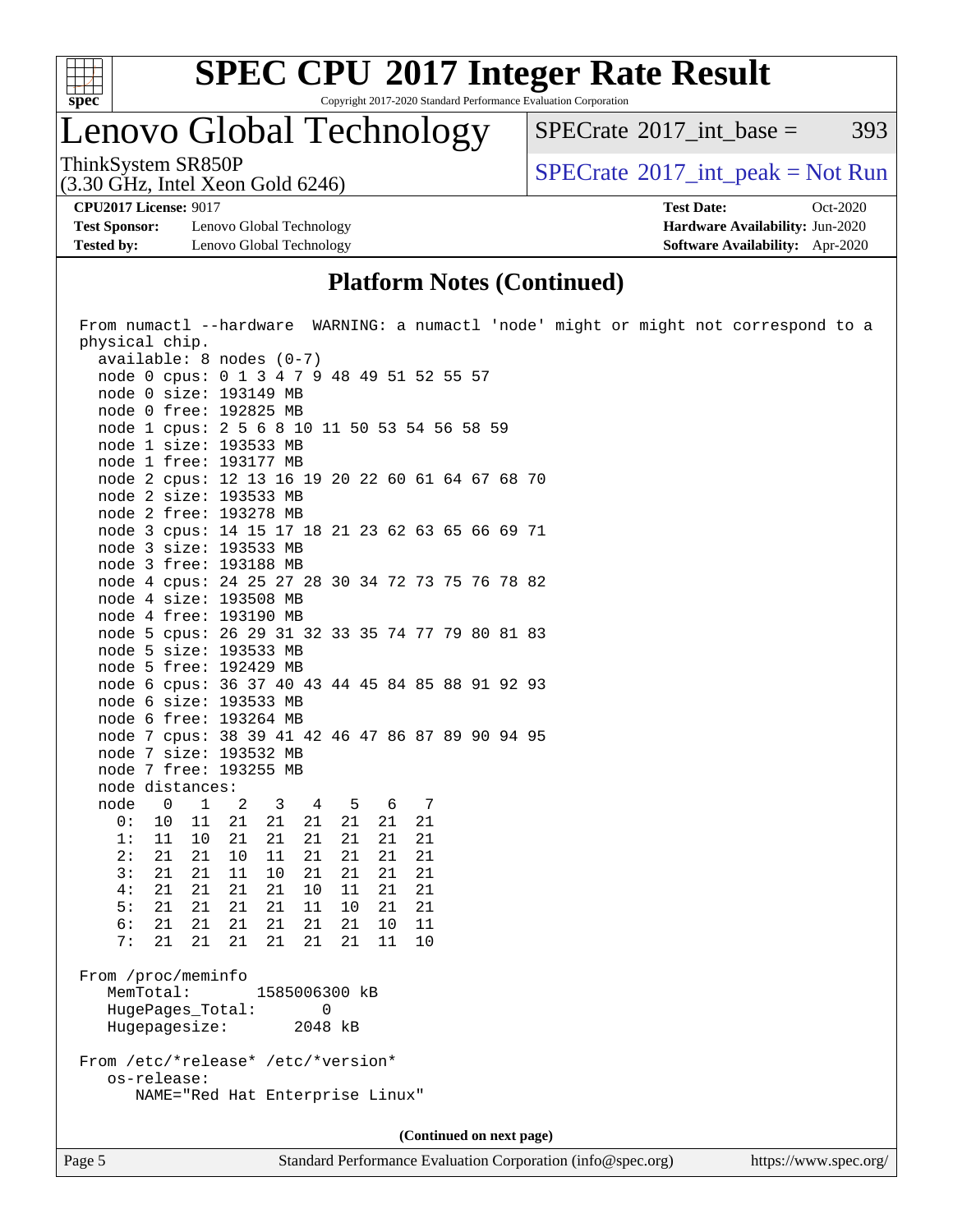

Copyright 2017-2020 Standard Performance Evaluation Corporation

### Lenovo Global Technology

ThinkSystem SR850P<br>  $SPECTI<sub>2</sub>120 GHz, Intel Y<sub>2</sub>2015  
SPECTI<sub>2</sub>120 GHz, Intel Y<sub>2</sub>2015$  $SPECTate@2017$ \_int\_base = 393

(3.30 GHz, Intel Xeon Gold 6246)

**[CPU2017 License:](http://www.spec.org/auto/cpu2017/Docs/result-fields.html#CPU2017License)** 9017 **[Test Date:](http://www.spec.org/auto/cpu2017/Docs/result-fields.html#TestDate)** Oct-2020

**[Test Sponsor:](http://www.spec.org/auto/cpu2017/Docs/result-fields.html#TestSponsor)** Lenovo Global Technology **[Hardware Availability:](http://www.spec.org/auto/cpu2017/Docs/result-fields.html#HardwareAvailability)** Jun-2020 **[Tested by:](http://www.spec.org/auto/cpu2017/Docs/result-fields.html#Testedby)** Lenovo Global Technology **[Software Availability:](http://www.spec.org/auto/cpu2017/Docs/result-fields.html#SoftwareAvailability)** Apr-2020

#### **[Platform Notes \(Continued\)](http://www.spec.org/auto/cpu2017/Docs/result-fields.html#PlatformNotes)**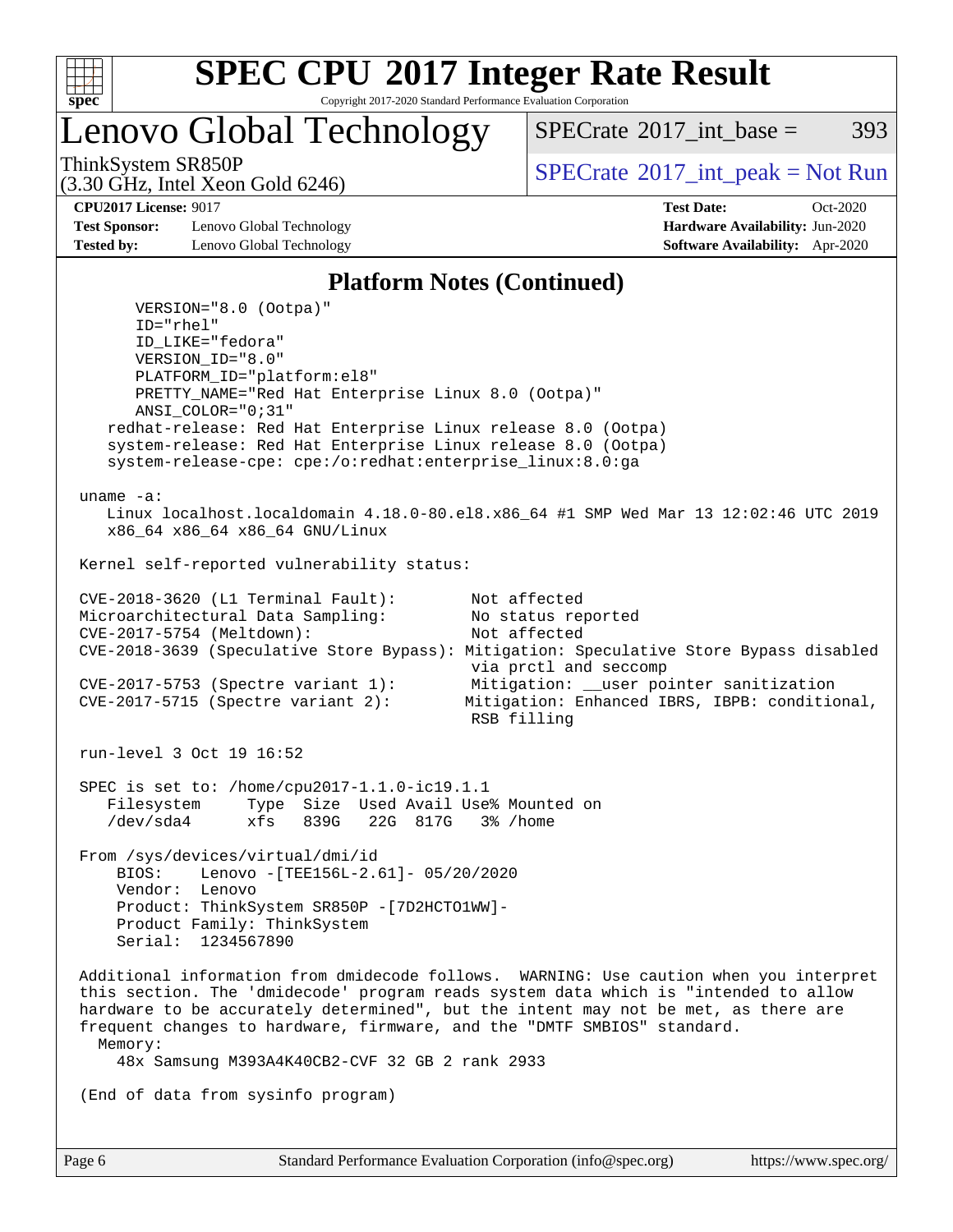

Copyright 2017-2020 Standard Performance Evaluation Corporation

Lenovo Global Technology

[SPECrate](http://www.spec.org/auto/cpu2017/Docs/result-fields.html#SPECrate2017intbase)<sup>®</sup>2017 int base = 393

(3.30 GHz, Intel Xeon Gold 6246)

ThinkSystem SR850P<br>  $SPECTI<sub>2</sub>120 GHz, Intel Y<sub>2</sub>2015  
SPECTI<sub>2</sub>120 GHz, Intel Y<sub>2</sub>2015$ 

**[Test Sponsor:](http://www.spec.org/auto/cpu2017/Docs/result-fields.html#TestSponsor)** Lenovo Global Technology **[Hardware Availability:](http://www.spec.org/auto/cpu2017/Docs/result-fields.html#HardwareAvailability)** Jun-2020 **[Tested by:](http://www.spec.org/auto/cpu2017/Docs/result-fields.html#Testedby)** Lenovo Global Technology **[Software Availability:](http://www.spec.org/auto/cpu2017/Docs/result-fields.html#SoftwareAvailability)** Apr-2020

**[CPU2017 License:](http://www.spec.org/auto/cpu2017/Docs/result-fields.html#CPU2017License)** 9017 **[Test Date:](http://www.spec.org/auto/cpu2017/Docs/result-fields.html#TestDate)** Oct-2020

#### **[Platform Notes \(Continued\)](http://www.spec.org/auto/cpu2017/Docs/result-fields.html#PlatformNotes)**

 VERSION="8.0 (Ootpa)" ID="rhel" ID\_LIKE="fedora" VERSION\_ID="8.0" PLATFORM\_ID="platform:el8" PRETTY\_NAME="Red Hat Enterprise Linux 8.0 (Ootpa)" ANSI\_COLOR="0;31" redhat-release: Red Hat Enterprise Linux release 8.0 (Ootpa) system-release: Red Hat Enterprise Linux release 8.0 (Ootpa) system-release-cpe: cpe:/o:redhat:enterprise\_linux:8.0:ga uname -a: Linux localhost.localdomain 4.18.0-80.el8.x86\_64 #1 SMP Wed Mar 13 12:02:46 UTC 2019 x86\_64 x86\_64 x86\_64 GNU/Linux Kernel self-reported vulnerability status: CVE-2018-3620 (L1 Terminal Fault): Not affected Microarchitectural Data Sampling: No status reported<br>CVE-2017-5754 (Meltdown): Not affected  $CVE-2017-5754$  (Meltdown): CVE-2018-3639 (Speculative Store Bypass): Mitigation: Speculative Store Bypass disabled via prctl and seccomp CVE-2017-5753 (Spectre variant 1): Mitigation: \_\_user pointer sanitization<br>CVE-2017-5715 (Spectre variant 2): Mitigation: Enhanced IBRS, IBPB: condition Mitigation: Enhanced IBRS, IBPB: conditional, RSB filling run-level 3 Oct 19 16:52 SPEC is set to: /home/cpu2017-1.1.0-ic19.1.1 Filesystem Type Size Used Avail Use% Mounted on /dev/sda4 xfs 839G 22G 817G 3% /home From /sys/devices/virtual/dmi/id BIOS: Lenovo -[TEE156L-2.61]- 05/20/2020 Vendor: Lenovo Product: ThinkSystem SR850P -[7D2HCTO1WW]- Product Family: ThinkSystem Serial: 1234567890 Additional information from dmidecode follows. WARNING: Use caution when you interpret this section. The 'dmidecode' program reads system data which is "intended to allow hardware to be accurately determined", but the intent may not be met, as there are frequent changes to hardware, firmware, and the "DMTF SMBIOS" standard. Memory: 48x Samsung M393A4K40CB2-CVF 32 GB 2 rank 2933 (End of data from sysinfo program)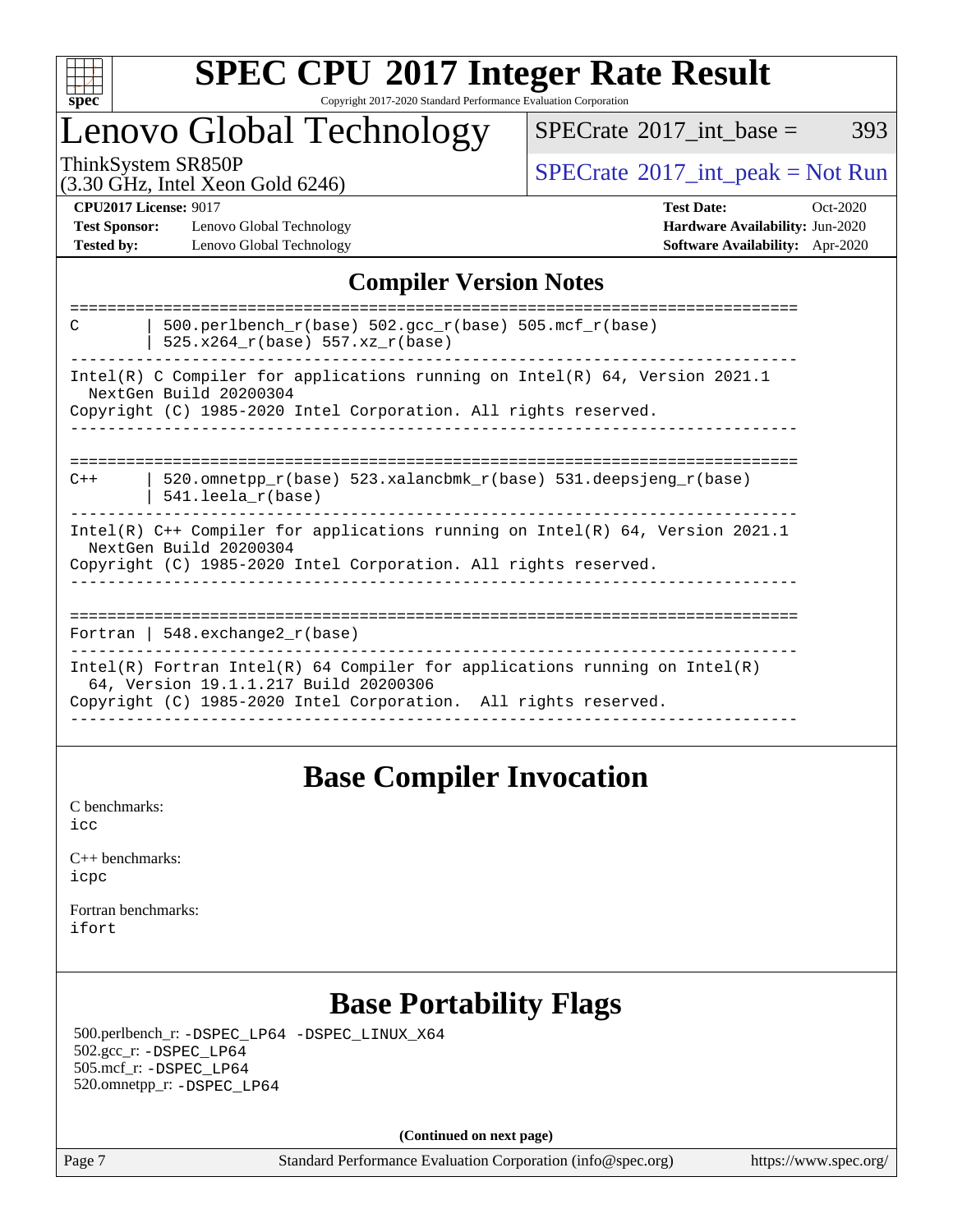

#### **[SPEC CPU](http://www.spec.org/auto/cpu2017/Docs/result-fields.html#SPECCPU2017IntegerRateResult)[2017 Integer Rate Result](http://www.spec.org/auto/cpu2017/Docs/result-fields.html#SPECCPU2017IntegerRateResult)** Copyright 2017-2020 Standard Performance Evaluation Corporation

### Lenovo Global Technology

 $SPECTate@2017\_int\_base = 393$ 

(3.30 GHz, Intel Xeon Gold 6246)

ThinkSystem SR850P<br>  $(3.30 \text{ GHz}_{\text{total}} \text{ Total} 5245)$  [SPECrate](http://www.spec.org/auto/cpu2017/Docs/result-fields.html#SPECrate2017intpeak)®[2017\\_int\\_peak = N](http://www.spec.org/auto/cpu2017/Docs/result-fields.html#SPECrate2017intpeak)ot Run

**[Test Sponsor:](http://www.spec.org/auto/cpu2017/Docs/result-fields.html#TestSponsor)** Lenovo Global Technology **[Hardware Availability:](http://www.spec.org/auto/cpu2017/Docs/result-fields.html#HardwareAvailability)** Jun-2020 **[Tested by:](http://www.spec.org/auto/cpu2017/Docs/result-fields.html#Testedby)** Lenovo Global Technology **[Software Availability:](http://www.spec.org/auto/cpu2017/Docs/result-fields.html#SoftwareAvailability)** Apr-2020

**[CPU2017 License:](http://www.spec.org/auto/cpu2017/Docs/result-fields.html#CPU2017License)** 9017 **[Test Date:](http://www.spec.org/auto/cpu2017/Docs/result-fields.html#TestDate)** Oct-2020

### **[Compiler Version Notes](http://www.spec.org/auto/cpu2017/Docs/result-fields.html#CompilerVersionNotes)**

| 500.perlbench_r(base) 502.gcc_r(base) 505.mcf_r(base)<br>C<br>$525.x264_r(base) 557.xz_r(base)$                                                                                        |  |  |  |  |  |
|----------------------------------------------------------------------------------------------------------------------------------------------------------------------------------------|--|--|--|--|--|
| Intel(R) C Compiler for applications running on Intel(R) $64$ , Version 2021.1<br>NextGen Build 20200304<br>Copyright (C) 1985-2020 Intel Corporation. All rights reserved.            |  |  |  |  |  |
|                                                                                                                                                                                        |  |  |  |  |  |
| 520.omnetpp $r(base)$ 523.xalancbmk $r(base)$ 531.deepsjeng $r(base)$<br>$C++$<br>$541.$ leela r(base)                                                                                 |  |  |  |  |  |
| Intel(R) $C++$ Compiler for applications running on Intel(R) 64, Version 2021.1<br>NextGen Build 20200304<br>Copyright (C) 1985-2020 Intel Corporation. All rights reserved.           |  |  |  |  |  |
| Fortran   548.exchange2 $r(base)$                                                                                                                                                      |  |  |  |  |  |
| Intel(R) Fortran Intel(R) 64 Compiler for applications running on Intel(R)<br>64, Version 19.1.1.217 Build 20200306<br>Copyright (C) 1985-2020 Intel Corporation. All rights reserved. |  |  |  |  |  |
|                                                                                                                                                                                        |  |  |  |  |  |

### **[Base Compiler Invocation](http://www.spec.org/auto/cpu2017/Docs/result-fields.html#BaseCompilerInvocation)**

[C benchmarks](http://www.spec.org/auto/cpu2017/Docs/result-fields.html#Cbenchmarks): [icc](http://www.spec.org/cpu2017/results/res2020q4/cpu2017-20201026-24292.flags.html#user_CCbase_intel_icc_66fc1ee009f7361af1fbd72ca7dcefbb700085f36577c54f309893dd4ec40d12360134090235512931783d35fd58c0460139e722d5067c5574d8eaf2b3e37e92)

| $C_{++}$ benchmarks: |  |
|----------------------|--|
| icpc                 |  |

[Fortran benchmarks](http://www.spec.org/auto/cpu2017/Docs/result-fields.html#Fortranbenchmarks): [ifort](http://www.spec.org/cpu2017/results/res2020q4/cpu2017-20201026-24292.flags.html#user_FCbase_intel_ifort_8111460550e3ca792625aed983ce982f94888b8b503583aa7ba2b8303487b4d8a21a13e7191a45c5fd58ff318f48f9492884d4413fa793fd88dd292cad7027ca)

### **[Base Portability Flags](http://www.spec.org/auto/cpu2017/Docs/result-fields.html#BasePortabilityFlags)**

 500.perlbench\_r: [-DSPEC\\_LP64](http://www.spec.org/cpu2017/results/res2020q4/cpu2017-20201026-24292.flags.html#b500.perlbench_r_basePORTABILITY_DSPEC_LP64) [-DSPEC\\_LINUX\\_X64](http://www.spec.org/cpu2017/results/res2020q4/cpu2017-20201026-24292.flags.html#b500.perlbench_r_baseCPORTABILITY_DSPEC_LINUX_X64) 502.gcc\_r: [-DSPEC\\_LP64](http://www.spec.org/cpu2017/results/res2020q4/cpu2017-20201026-24292.flags.html#suite_basePORTABILITY502_gcc_r_DSPEC_LP64) 505.mcf\_r: [-DSPEC\\_LP64](http://www.spec.org/cpu2017/results/res2020q4/cpu2017-20201026-24292.flags.html#suite_basePORTABILITY505_mcf_r_DSPEC_LP64) 520.omnetpp\_r: [-DSPEC\\_LP64](http://www.spec.org/cpu2017/results/res2020q4/cpu2017-20201026-24292.flags.html#suite_basePORTABILITY520_omnetpp_r_DSPEC_LP64)

**(Continued on next page)**

Page 7 Standard Performance Evaluation Corporation [\(info@spec.org\)](mailto:info@spec.org) <https://www.spec.org/>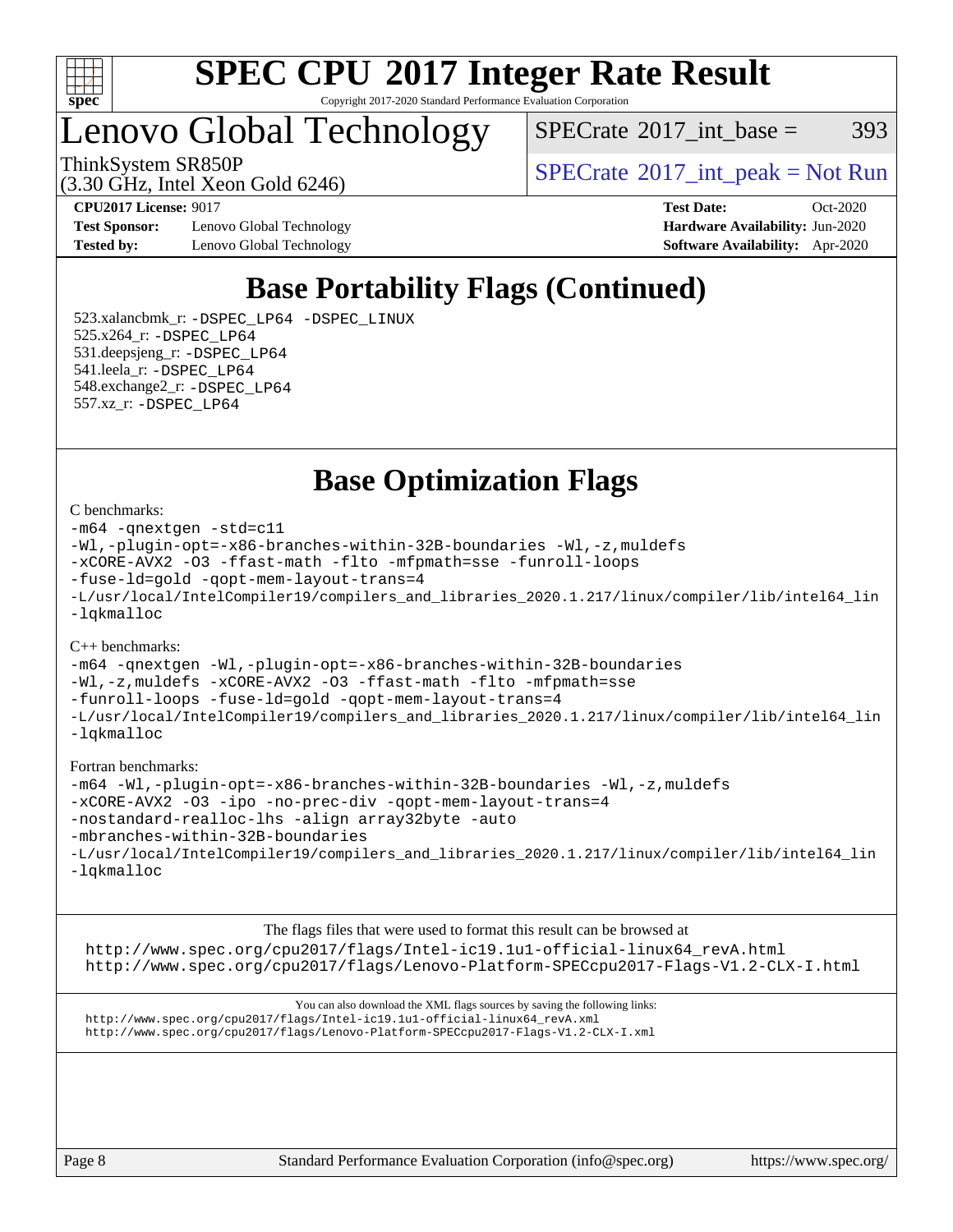

Copyright 2017-2020 Standard Performance Evaluation Corporation

Lenovo Global Technology

 $SPECTate@2017\_int\_base = 393$ 

(3.30 GHz, Intel Xeon Gold 6246)

ThinkSystem SR850P<br>  $SPECTI<sub>2</sub>120 GHz, Intel Y<sub>2</sub>2015  
SPECTI<sub>2</sub>120 GHz, Intel Y<sub>2</sub>2015$ 

**[Test Sponsor:](http://www.spec.org/auto/cpu2017/Docs/result-fields.html#TestSponsor)** Lenovo Global Technology **[Hardware Availability:](http://www.spec.org/auto/cpu2017/Docs/result-fields.html#HardwareAvailability)** Jun-2020 **[Tested by:](http://www.spec.org/auto/cpu2017/Docs/result-fields.html#Testedby)** Lenovo Global Technology **[Software Availability:](http://www.spec.org/auto/cpu2017/Docs/result-fields.html#SoftwareAvailability)** Apr-2020

**[CPU2017 License:](http://www.spec.org/auto/cpu2017/Docs/result-fields.html#CPU2017License)** 9017 **[Test Date:](http://www.spec.org/auto/cpu2017/Docs/result-fields.html#TestDate)** Oct-2020

### **[Base Portability Flags \(Continued\)](http://www.spec.org/auto/cpu2017/Docs/result-fields.html#BasePortabilityFlags)**

 523.xalancbmk\_r: [-DSPEC\\_LP64](http://www.spec.org/cpu2017/results/res2020q4/cpu2017-20201026-24292.flags.html#suite_basePORTABILITY523_xalancbmk_r_DSPEC_LP64) [-DSPEC\\_LINUX](http://www.spec.org/cpu2017/results/res2020q4/cpu2017-20201026-24292.flags.html#b523.xalancbmk_r_baseCXXPORTABILITY_DSPEC_LINUX) 525.x264\_r: [-DSPEC\\_LP64](http://www.spec.org/cpu2017/results/res2020q4/cpu2017-20201026-24292.flags.html#suite_basePORTABILITY525_x264_r_DSPEC_LP64) 531.deepsjeng\_r: [-DSPEC\\_LP64](http://www.spec.org/cpu2017/results/res2020q4/cpu2017-20201026-24292.flags.html#suite_basePORTABILITY531_deepsjeng_r_DSPEC_LP64) 541.leela\_r: [-DSPEC\\_LP64](http://www.spec.org/cpu2017/results/res2020q4/cpu2017-20201026-24292.flags.html#suite_basePORTABILITY541_leela_r_DSPEC_LP64) 548.exchange2\_r: [-DSPEC\\_LP64](http://www.spec.org/cpu2017/results/res2020q4/cpu2017-20201026-24292.flags.html#suite_basePORTABILITY548_exchange2_r_DSPEC_LP64) 557.xz\_r: [-DSPEC\\_LP64](http://www.spec.org/cpu2017/results/res2020q4/cpu2017-20201026-24292.flags.html#suite_basePORTABILITY557_xz_r_DSPEC_LP64)

**[Base Optimization Flags](http://www.spec.org/auto/cpu2017/Docs/result-fields.html#BaseOptimizationFlags)**

#### [C benchmarks](http://www.spec.org/auto/cpu2017/Docs/result-fields.html#Cbenchmarks):

```
-m64 -qnextgen -std=c11
-Wl,-plugin-opt=-x86-branches-within-32B-boundaries -Wl,-z,muldefs
-xCORE-AVX2 -O3 -ffast-math -flto -mfpmath=sse -funroll-loops
-fuse-ld=gold -qopt-mem-layout-trans=4
-L/usr/local/IntelCompiler19/compilers_and_libraries_2020.1.217/linux/compiler/lib/intel64_lin
-lqkmalloc
```
#### [C++ benchmarks](http://www.spec.org/auto/cpu2017/Docs/result-fields.html#CXXbenchmarks):

```
-m64 -qnextgen -Wl,-plugin-opt=-x86-branches-within-32B-boundaries
-Wl,-z,muldefs -xCORE-AVX2 -O3 -ffast-math -flto -mfpmath=sse
-funroll-loops -fuse-ld=gold -qopt-mem-layout-trans=4
-L/usr/local/IntelCompiler19/compilers_and_libraries_2020.1.217/linux/compiler/lib/intel64_lin
-lqkmalloc
```
#### [Fortran benchmarks:](http://www.spec.org/auto/cpu2017/Docs/result-fields.html#Fortranbenchmarks)

```
-m64 -Wl,-plugin-opt=-x86-branches-within-32B-boundaries -Wl,-z,muldefs
-xCORE-AVX2 -O3 -ipo -no-prec-div -qopt-mem-layout-trans=4
-nostandard-realloc-lhs -align array32byte -auto
-mbranches-within-32B-boundaries
-L/usr/local/IntelCompiler19/compilers_and_libraries_2020.1.217/linux/compiler/lib/intel64_lin
-lqkmalloc
```
[The flags files that were used to format this result can be browsed at](tmsearch) [http://www.spec.org/cpu2017/flags/Intel-ic19.1u1-official-linux64\\_revA.html](http://www.spec.org/cpu2017/flags/Intel-ic19.1u1-official-linux64_revA.html) <http://www.spec.org/cpu2017/flags/Lenovo-Platform-SPECcpu2017-Flags-V1.2-CLX-I.html>

[You can also download the XML flags sources by saving the following links:](tmsearch) [http://www.spec.org/cpu2017/flags/Intel-ic19.1u1-official-linux64\\_revA.xml](http://www.spec.org/cpu2017/flags/Intel-ic19.1u1-official-linux64_revA.xml) <http://www.spec.org/cpu2017/flags/Lenovo-Platform-SPECcpu2017-Flags-V1.2-CLX-I.xml>